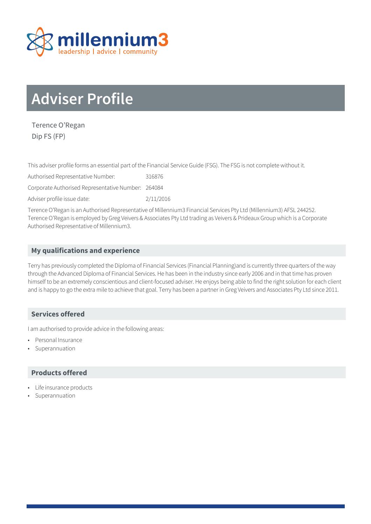

# **Adviser Profile**

Terence O'Regan Dip FS (FP)

This adviser profile forms an essential part of the Financial Service Guide (FSG). The FSG is not complete without it.

Authorised Representative Number: 316876

Corporate Authorised Representative Number: 264084

Adviser profile issue date: 2/11/2016

Terence O'Regan is an Authorised Representative of Millennium3 Financial Services Pty Ltd (Millennium3) AFSL 244252. Terence O'Regan is employed by Greg Veivers & Associates Pty Ltd trading as Veivers & Prideaux Group which is a Corporate Authorised Representative of Millennium3.

## **My qualifications and experience**

Terry has previously completed the Diploma of Financial Services (Financial Planning)and is currently three quarters of the way through the Advanced Diploma of Financial Services. He has been in the industry since early 2006 and in that time has proven himself to be an extremely conscientious and client-focused adviser. He enjoys being able to find the right solution for each client and is happy to go the extra mile to achieve that goal. Terry has been a partner in Greg Veivers and Associates Pty Ltd since 2011.

## **Services offered**

I am authorised to provide advice in the following areas:

- Personal Insurance
- **Superannuation**

### **Products offered**

- Life insurance products
- **Superannuation**